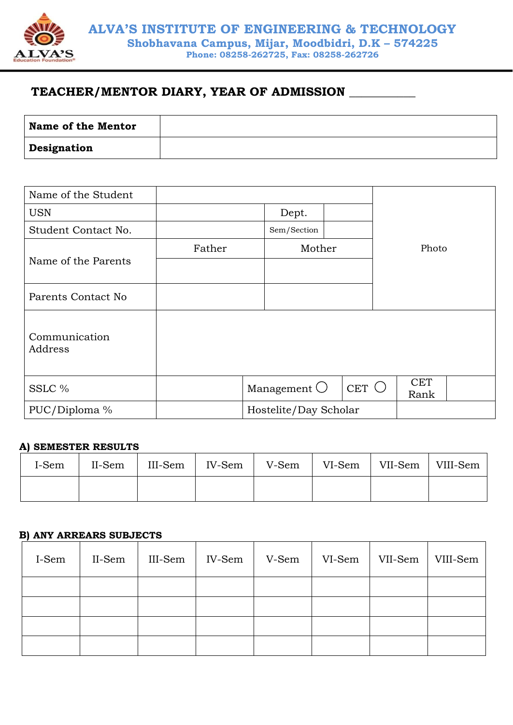

# **TEACHER/MENTOR DIARY, YEAR OF ADMISSION \_\_\_\_\_\_\_\_\_\_\_**

| <b>Name of the Mentor</b> |  |
|---------------------------|--|
| Designation               |  |

| Name of the Student |        |                       |        |  |                    |  |
|---------------------|--------|-----------------------|--------|--|--------------------|--|
| <b>USN</b>          |        | Dept.                 |        |  |                    |  |
| Student Contact No. |        | Sem/Section           |        |  |                    |  |
|                     | Father |                       | Mother |  | Photo              |  |
| Name of the Parents |        |                       |        |  |                    |  |
|                     |        |                       |        |  |                    |  |
| Parents Contact No  |        |                       |        |  |                    |  |
|                     |        |                       |        |  |                    |  |
| Communication       |        |                       |        |  |                    |  |
| Address             |        |                       |        |  |                    |  |
|                     |        |                       |        |  |                    |  |
| SSLC %              |        | Management $\bigcirc$ | CET    |  | <b>CET</b><br>Rank |  |
| PUC/Diploma %       |        | Hostelite/Day Scholar |        |  |                    |  |

### **A) SEMESTER RESULTS**

| I-Sem | II-Sem |  |  | $III\text{-}\mathrm{Sem}$   IV-Sem   V-Sem   VI-Sem   VII-Sem   VIII-Sem |
|-------|--------|--|--|--------------------------------------------------------------------------|
|       |        |  |  |                                                                          |

## **B) ANY ARREARS SUBJECTS**

| I-Sem | II-Sem | III-Sem | IV-Sem | V-Sem | VI-Sem | VII-Sem | VIII-Sem |
|-------|--------|---------|--------|-------|--------|---------|----------|
|       |        |         |        |       |        |         |          |
|       |        |         |        |       |        |         |          |
|       |        |         |        |       |        |         |          |
|       |        |         |        |       |        |         |          |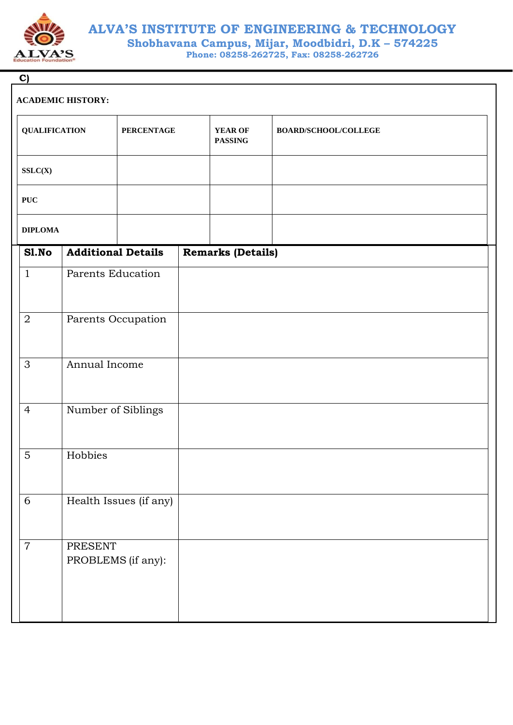

# **ALVA'S INSTITUTE OF ENGINEERING & TECHNOLOGY Shobhavana Campus, Mijar, Moodbidri, D.K – 574225**

**Phone: 08258-262725, Fax: 08258-262726**

| C                    |                               |                        |                                  |                      |
|----------------------|-------------------------------|------------------------|----------------------------------|----------------------|
|                      | <b>ACADEMIC HISTORY:</b>      |                        |                                  |                      |
| <b>QUALIFICATION</b> |                               | <b>PERCENTAGE</b>      | <b>YEAR OF</b><br><b>PASSING</b> | BOARD/SCHOOL/COLLEGE |
| SSLC(X)              |                               |                        |                                  |                      |
| $\mathbf{PUC}$       |                               |                        |                                  |                      |
| <b>DIPLOMA</b>       |                               |                        |                                  |                      |
| S1.No                | <b>Additional Details</b>     |                        | <b>Remarks (Details)</b>         |                      |
| $\mathbf{1}$         | Parents Education             |                        |                                  |                      |
| $\overline{2}$       |                               | Parents Occupation     |                                  |                      |
| 3                    | Annual Income                 |                        |                                  |                      |
| $\overline{4}$       | Number of Siblings            |                        |                                  |                      |
| $\mathbf 5$          | Hobbies                       |                        |                                  |                      |
| 6                    |                               | Health Issues (if any) |                                  |                      |
| $\overline{7}$       | PRESENT<br>PROBLEMS (if any): |                        |                                  |                      |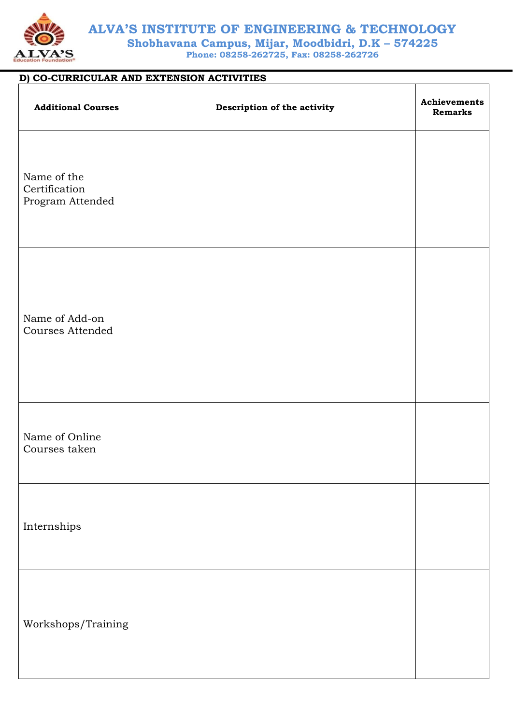

# **ALVA'S INSTITUTE OF ENGINEERING & TECHNOLOGY**

**Shobhavana Campus, Mijar, Moodbidri, D.K – 574225 Phone: 08258-262725, Fax: 08258-262726**

## **D) CO-CURRICULAR AND EXTENSION ACTIVITIES**

| <b>Additional Courses</b>                        | Description of the activity | Achievements<br><b>Remarks</b> |
|--------------------------------------------------|-----------------------------|--------------------------------|
| Name of the<br>Certification<br>Program Attended |                             |                                |
| Name of Add-on<br>Courses Attended               |                             |                                |
| Name of Online<br>Courses taken                  |                             |                                |
| Internships                                      |                             |                                |
| Workshops/Training                               |                             |                                |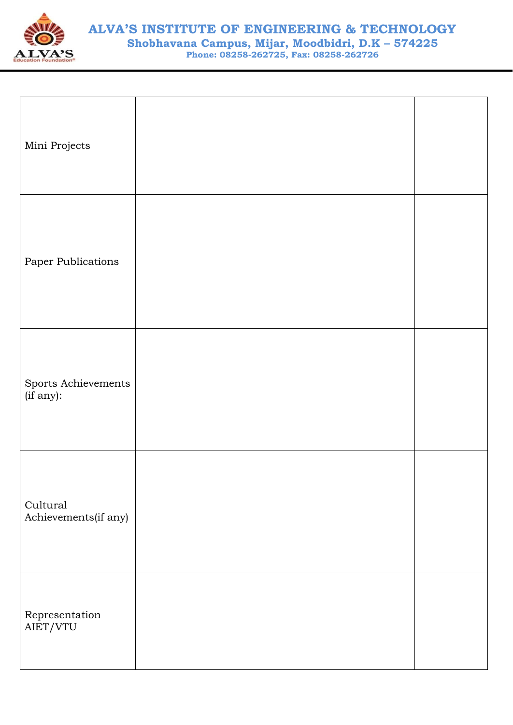

| Mini Projects                    |  |
|----------------------------------|--|
| Paper Publications               |  |
| Sports Achievements<br>(if any): |  |
| Cultural<br>Achievements(if any) |  |
| Representation<br>AIET/VTU       |  |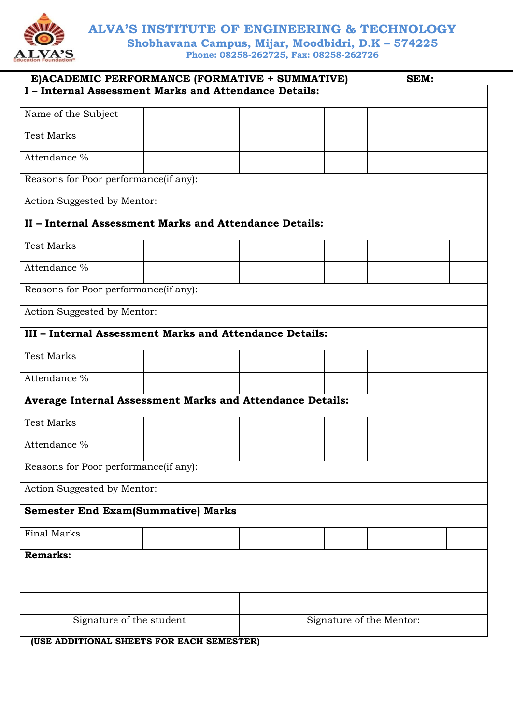

**ALVA'S INSTITUTE OF ENGINEERING & TECHNOLOGY**

**Shobhavana Campus, Mijar, Moodbidri, D.K – 574225 Phone: 08258-262725, Fax: 08258-262726**

| E)ACADEMIC PERFORMANCE (FORMATIVE + SUMMATIVE)                   |  |  |  |  |                          |  | SEM: |  |  |
|------------------------------------------------------------------|--|--|--|--|--------------------------|--|------|--|--|
| I - Internal Assessment Marks and Attendance Details:            |  |  |  |  |                          |  |      |  |  |
|                                                                  |  |  |  |  |                          |  |      |  |  |
| Name of the Subject                                              |  |  |  |  |                          |  |      |  |  |
| <b>Test Marks</b>                                                |  |  |  |  |                          |  |      |  |  |
| Attendance %                                                     |  |  |  |  |                          |  |      |  |  |
| Reasons for Poor performance(if any):                            |  |  |  |  |                          |  |      |  |  |
| Action Suggested by Mentor:                                      |  |  |  |  |                          |  |      |  |  |
| II - Internal Assessment Marks and Attendance Details:           |  |  |  |  |                          |  |      |  |  |
| <b>Test Marks</b>                                                |  |  |  |  |                          |  |      |  |  |
| Attendance %                                                     |  |  |  |  |                          |  |      |  |  |
| Reasons for Poor performance(if any):                            |  |  |  |  |                          |  |      |  |  |
| Action Suggested by Mentor:                                      |  |  |  |  |                          |  |      |  |  |
|                                                                  |  |  |  |  |                          |  |      |  |  |
| III - Internal Assessment Marks and Attendance Details:          |  |  |  |  |                          |  |      |  |  |
| <b>Test Marks</b>                                                |  |  |  |  |                          |  |      |  |  |
| Attendance %                                                     |  |  |  |  |                          |  |      |  |  |
| <b>Average Internal Assessment Marks and Attendance Details:</b> |  |  |  |  |                          |  |      |  |  |
| <b>Test Marks</b>                                                |  |  |  |  |                          |  |      |  |  |
| Attendance %                                                     |  |  |  |  |                          |  |      |  |  |
| Reasons for Poor performance(if any):                            |  |  |  |  |                          |  |      |  |  |
| Action Suggested by Mentor:                                      |  |  |  |  |                          |  |      |  |  |
| <b>Semester End Exam(Summative) Marks</b>                        |  |  |  |  |                          |  |      |  |  |
| <b>Final Marks</b>                                               |  |  |  |  |                          |  |      |  |  |
| <b>Remarks:</b>                                                  |  |  |  |  |                          |  |      |  |  |
|                                                                  |  |  |  |  |                          |  |      |  |  |
|                                                                  |  |  |  |  |                          |  |      |  |  |
|                                                                  |  |  |  |  |                          |  |      |  |  |
| Signature of the student                                         |  |  |  |  | Signature of the Mentor: |  |      |  |  |
|                                                                  |  |  |  |  |                          |  |      |  |  |

**(USE ADDITIONAL SHEETS FOR EACH SEMESTER)**